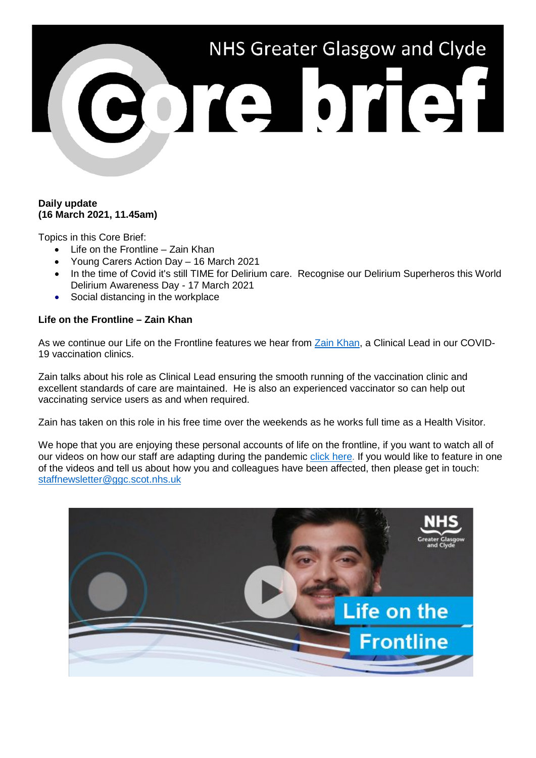

## **Daily update (16 March 2021, 11.45am)**

Topics in this Core Brief:

- Life on the Frontline Zain Khan
- Young Carers Action Day 16 March 2021
- In the time of Covid it's still TIME for Delirium care. Recognise our Delirium Superheros this World Delirium Awareness Day - 17 March 2021
- Social distancing in the workplace

# **Life on the Frontline – Zain Khan**

As we continue our Life on the Frontline features we hear from [Zain Khan,](https://www.youtube.com/watch?v=WFlI1ev2ee4) a Clinical Lead in our COVID-19 vaccination clinics.

Zain talks about his role as Clinical Lead ensuring the smooth running of the vaccination clinic and excellent standards of care are maintained. He is also an experienced vaccinator so can help out vaccinating service users as and when required.

Zain has taken on this role in his free time over the weekends as he works full time as a Health Visitor.

We hope that you are enjoying these personal accounts of life on the frontline, if you want to watch all of our videos on how our staff are adapting during the pandemic [click here.](https://www.nhsggc.org.uk/your-health/health-issues/covid-19-coronavirus/life-on-the-frontline/) If you would like to feature in one of the videos and tell us about how you and colleagues have been affected, then please get in touch: [staffnewsletter@ggc.scot.nhs.uk](mailto:staffnewsletter@ggc.scot.nhs.uk)

![](_page_0_Picture_12.jpeg)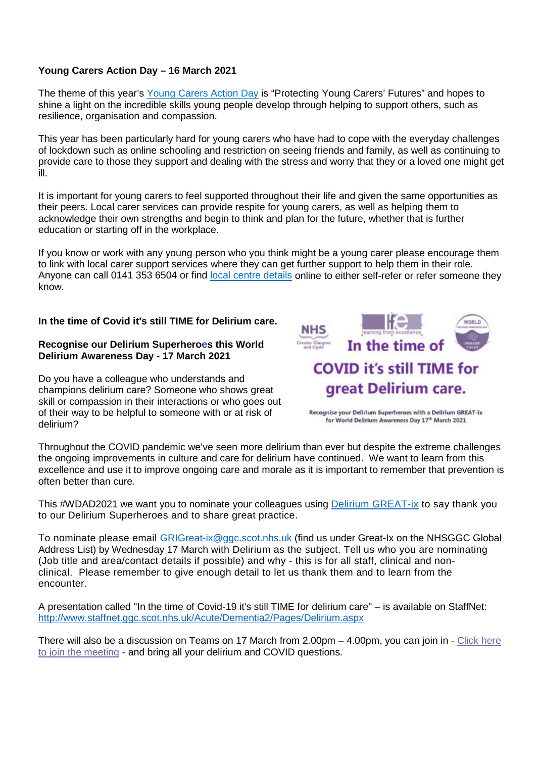# **Young Carers Action Day – 16 March 2021**

The theme of this year's [Young Carers Action Day](https://carers.org/young-carers-action-day-2021/young-carers-action-day-2021) is "Protecting Young Carers' Futures" and hopes to shine a light on the incredible skills young people develop through helping to support others, such as resilience, organisation and compassion.

This year has been particularly hard for young carers who have had to cope with the everyday challenges of lockdown such as online schooling and restriction on seeing friends and family, as well as continuing to provide care to those they support and dealing with the stress and worry that they or a loved one might get ill.

It is important for young carers to feel supported throughout their life and given the same opportunities as their peers. Local carer services can provide respite for young carers, as well as helping them to acknowledge their own strengths and begin to think and plan for the future, whether that is further education or starting off in the workplace.

If you know or work with any young person who you think might be a young carer please encourage them to link with local carer support services where they can get further support to help them in their role. Anyone can call 0141 353 6504 or find [local centre details](https://www.nhsggc.org.uk/your-health/health-services/carers/contact-us/local-services/) online to either self-refer or refer someone they know.

### **In the time of Covid it's still TIME for Delirium care.**

#### **Recognise our Delirium Superheroes this World Delirium Awareness Day - 17 March 2021**

Do you have a colleague who understands and champions delirium care? Someone who shows great skill or compassion in their interactions or who goes out of their way to be helpful to someone with or at risk of delirium?

![](_page_1_Picture_8.jpeg)

Recognise your Delirium Superheroes with a Delirium GREAT-ix for World Delirium Awareness Day 17th March 2021

Throughout the COVID pandemic we've seen more delirium than ever but despite the extreme challenges the ongoing improvements in culture and care for delirium have continued. We want to learn from this excellence and use it to improve ongoing care and morale as it is important to remember that prevention is often better than cure.

This #WDAD2021 we want you to nominate your colleagues using **Delirium GREAT-ix** to say thank you to our Delirium Superheroes and to share great practice.

To nominate please email [GRIGreat-ix@ggc.scot.nhs.uk](mailto:GRIGreat-ix@ggc.scot.nhs.uk) (find us under Great-Ix on the NHSGGC Global Address List) by Wednesday 17 March with Delirium as the subject. Tell us who you are nominating (Job title and area/contact details if possible) and why - this is for all staff, clinical and nonclinical. Please remember to give enough detail to let us thank them and to learn from the encounter.

A presentation called "In the time of Covid-19 it's still TIME for delirium care" – is available on StaffNet: <http://www.staffnet.ggc.scot.nhs.uk/Acute/Dementia2/Pages/Delirium.aspx>

There will also be a discussion on Teams on 17 March from 2.00pm – 4.00pm, you can join in - [Click here](https://teams.microsoft.com/l/meetup-join/19%3ameeting_ZWRhYTYwMjctYmFiMi00M2ZmLTk3YzgtZDZjZWI0MmFmZGNl%40thread.v2/0?context=%7b%22Tid%22%3a%2210efe0bd-a030-4bca-809c-b5e6745e499a%22%2c%22Oid%22%3a%22d7a87250-9186-45ca-9890-761002a9d71d%22%7d)  [to join the meeting](https://teams.microsoft.com/l/meetup-join/19%3ameeting_ZWRhYTYwMjctYmFiMi00M2ZmLTk3YzgtZDZjZWI0MmFmZGNl%40thread.v2/0?context=%7b%22Tid%22%3a%2210efe0bd-a030-4bca-809c-b5e6745e499a%22%2c%22Oid%22%3a%22d7a87250-9186-45ca-9890-761002a9d71d%22%7d) - and bring all your delirium and COVID questions.